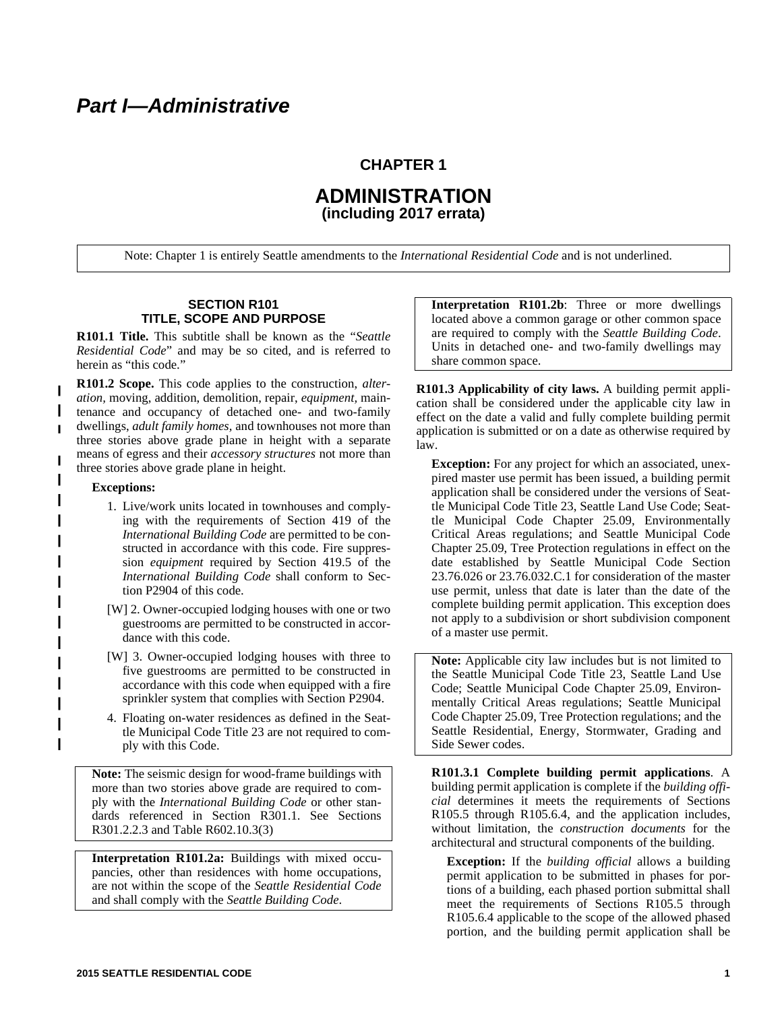## **CHAPTER 1**

# **ADMINISTRATION (including 2017 errata)**

Note: Chapter 1 is entirely Seattle amendments to the *International Residential Code* and is not underlined.

#### **SECTION R101 TITLE, SCOPE AND PURPOSE**

**R101.1 Title.** This subtitle shall be known as the "*Seattle Residential Code*" and may be so cited, and is referred to herein as "this code."

**R101.2 Scope.** This code applies to the construction, *alteration,* moving, addition, demolition, repair, *equipment,* maintenance and occupancy of detached one- and two-family dwellings, *adult family homes,* and townhouses not more than three stories above grade plane in height with a separate means of egress and their *accessory structures* not more than three stories above grade plane in height.

#### **Exceptions:**

 $\mathbf{I}$ 

- 1. Live/work units located in townhouses and complying with the requirements of Section 419 of the *International Building Code* are permitted to be constructed in accordance with this code. Fire suppression *equipment* required by Section 419.5 of the *International Building Code* shall conform to Section P2904 of this code.
- [W] 2. Owner-occupied lodging houses with one or two guestrooms are permitted to be constructed in accordance with this code.
- [W] 3. Owner-occupied lodging houses with three to five guestrooms are permitted to be constructed in accordance with this code when equipped with a fire sprinkler system that complies with Section P2904.
- 4. Floating on-water residences as defined in the Seattle Municipal Code Title 23 are not required to comply with this Code.

**Note:** The seismic design for wood-frame buildings with more than two stories above grade are required to comply with the *International Building Code* or other standards referenced in Section R301.1. See Sections R301.2.2.3 and Table R602.10.3(3)

**Interpretation R101.2a:** Buildings with mixed occupancies, other than residences with home occupations, are not within the scope of the *Seattle Residential Code* and shall comply with the *Seattle Building Code*.

**Interpretation R101.2b**: Three or more dwellings located above a common garage or other common space are required to comply with the *Seattle Building Code*. Units in detached one- and two-family dwellings may share common space.

**R101.3 Applicability of city laws.** A building permit application shall be considered under the applicable city law in effect on the date a valid and fully complete building permit application is submitted or on a date as otherwise required by law.

**Exception:** For any project for which an associated, unexpired master use permit has been issued, a building permit application shall be considered under the versions of Seattle Municipal Code Title 23, Seattle Land Use Code; Seattle Municipal Code Chapter 25.09, Environmentally Critical Areas regulations; and Seattle Municipal Code Chapter 25.09, Tree Protection regulations in effect on the date established by Seattle Municipal Code Section 23.76.026 or 23.76.032.C.1 for consideration of the master use permit, unless that date is later than the date of the complete building permit application. This exception does not apply to a subdivision or short subdivision component of a master use permit.

**Note:** Applicable city law includes but is not limited to the Seattle Municipal Code Title 23, Seattle Land Use Code; Seattle Municipal Code Chapter 25.09, Environmentally Critical Areas regulations; Seattle Municipal Code Chapter 25.09, Tree Protection regulations; and the Seattle Residential, Energy, Stormwater, Grading and Side Sewer codes.

**R101.3.1 Complete building permit applications**. A building permit application is complete if the *building official* determines it meets the requirements of Sections R105.5 through R105.6.4, and the application includes, without limitation, the *construction documents* for the architectural and structural components of the building.

**Exception:** If the *building official* allows a building permit application to be submitted in phases for portions of a building, each phased portion submittal shall meet the requirements of Sections R105.5 through R105.6.4 applicable to the scope of the allowed phased portion, and the building permit application shall be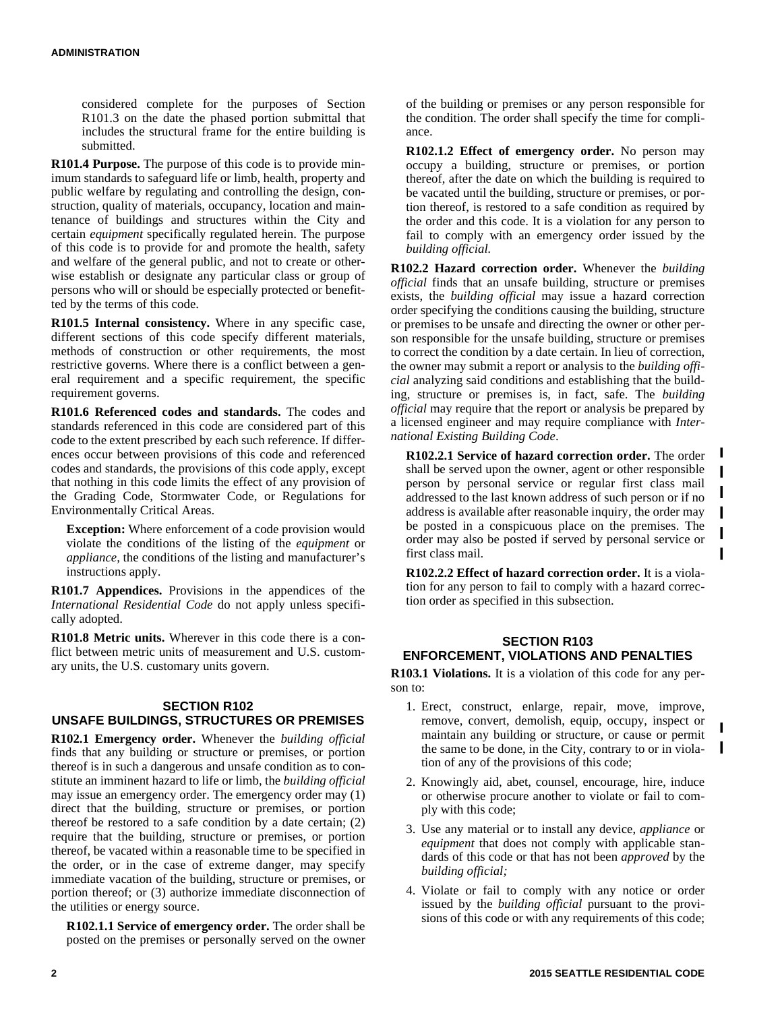considered complete for the purposes of Section R101.3 on the date the phased portion submittal that includes the structural frame for the entire building is submitted.

**R101.4 Purpose.** The purpose of this code is to provide minimum standards to safeguard life or limb, health, property and public welfare by regulating and controlling the design, construction, quality of materials, occupancy, location and maintenance of buildings and structures within the City and certain *equipment* specifically regulated herein. The purpose of this code is to provide for and promote the health, safety and welfare of the general public, and not to create or otherwise establish or designate any particular class or group of persons who will or should be especially protected or benefitted by the terms of this code.

**R101.5 Internal consistency.** Where in any specific case, different sections of this code specify different materials, methods of construction or other requirements, the most restrictive governs. Where there is a conflict between a general requirement and a specific requirement, the specific requirement governs.

**R101.6 Referenced codes and standards.** The codes and standards referenced in this code are considered part of this code to the extent prescribed by each such reference. If differences occur between provisions of this code and referenced codes and standards, the provisions of this code apply, except that nothing in this code limits the effect of any provision of the Grading Code, Stormwater Code, or Regulations for Environmentally Critical Areas.

**Exception:** Where enforcement of a code provision would violate the conditions of the listing of the *equipment* or *appliance,* the conditions of the listing and manufacturer's instructions apply.

**R101.7 Appendices.** Provisions in the appendices of the *International Residential Code* do not apply unless specifically adopted.

**R101.8 Metric units.** Wherever in this code there is a conflict between metric units of measurement and U.S. customary units, the U.S. customary units govern.

## **SECTION R102 UNSAFE BUILDINGS, STRUCTURES OR PREMISES**

**R102.1 Emergency order.** Whenever the *building official* finds that any building or structure or premises, or portion thereof is in such a dangerous and unsafe condition as to constitute an imminent hazard to life or limb, the *building official* may issue an emergency order. The emergency order may (1) direct that the building, structure or premises, or portion thereof be restored to a safe condition by a date certain; (2) require that the building, structure or premises, or portion thereof, be vacated within a reasonable time to be specified in the order, or in the case of extreme danger, may specify immediate vacation of the building, structure or premises, or portion thereof; or (3) authorize immediate disconnection of the utilities or energy source.

**R102.1.1 Service of emergency order.** The order shall be posted on the premises or personally served on the owner of the building or premises or any person responsible for the condition. The order shall specify the time for compliance.

**R102.1.2 Effect of emergency order.** No person may occupy a building, structure or premises, or portion thereof, after the date on which the building is required to be vacated until the building, structure or premises, or portion thereof, is restored to a safe condition as required by the order and this code. It is a violation for any person to fail to comply with an emergency order issued by the *building official.*

**R102.2 Hazard correction order.** Whenever the *building official* finds that an unsafe building, structure or premises exists, the *building official* may issue a hazard correction order specifying the conditions causing the building, structure or premises to be unsafe and directing the owner or other person responsible for the unsafe building, structure or premises to correct the condition by a date certain. In lieu of correction, the owner may submit a report or analysis to the *building official* analyzing said conditions and establishing that the building, structure or premises is, in fact, safe. The *building official* may require that the report or analysis be prepared by a licensed engineer and may require compliance with *International Existing Building Code*.

**R102.2.1 Service of hazard correction order.** The order shall be served upon the owner, agent or other responsible person by personal service or regular first class mail addressed to the last known address of such person or if no address is available after reasonable inquiry, the order may be posted in a conspicuous place on the premises. The order may also be posted if served by personal service or first class mail.

п  $\blacksquare$ 

 $\mathbf{I}$ 

 $\blacksquare$ 

I

**R102.2.2 Effect of hazard correction order.** It is a violation for any person to fail to comply with a hazard correction order as specified in this subsection.

## **SECTION R103 ENFORCEMENT, VIOLATIONS AND PENALTIES**

**R103.1 Violations.** It is a violation of this code for any person to:

- 1. Erect, construct, enlarge, repair, move, improve, remove, convert, demolish, equip, occupy, inspect or maintain any building or structure, or cause or permit the same to be done, in the City, contrary to or in violation of any of the provisions of this code;
- 2. Knowingly aid, abet, counsel, encourage, hire, induce or otherwise procure another to violate or fail to comply with this code;
- 3. Use any material or to install any device, *appliance* or *equipment* that does not comply with applicable standards of this code or that has not been *approved* by the *building official;*
- 4. Violate or fail to comply with any notice or order issued by the *building official* pursuant to the provisions of this code or with any requirements of this code;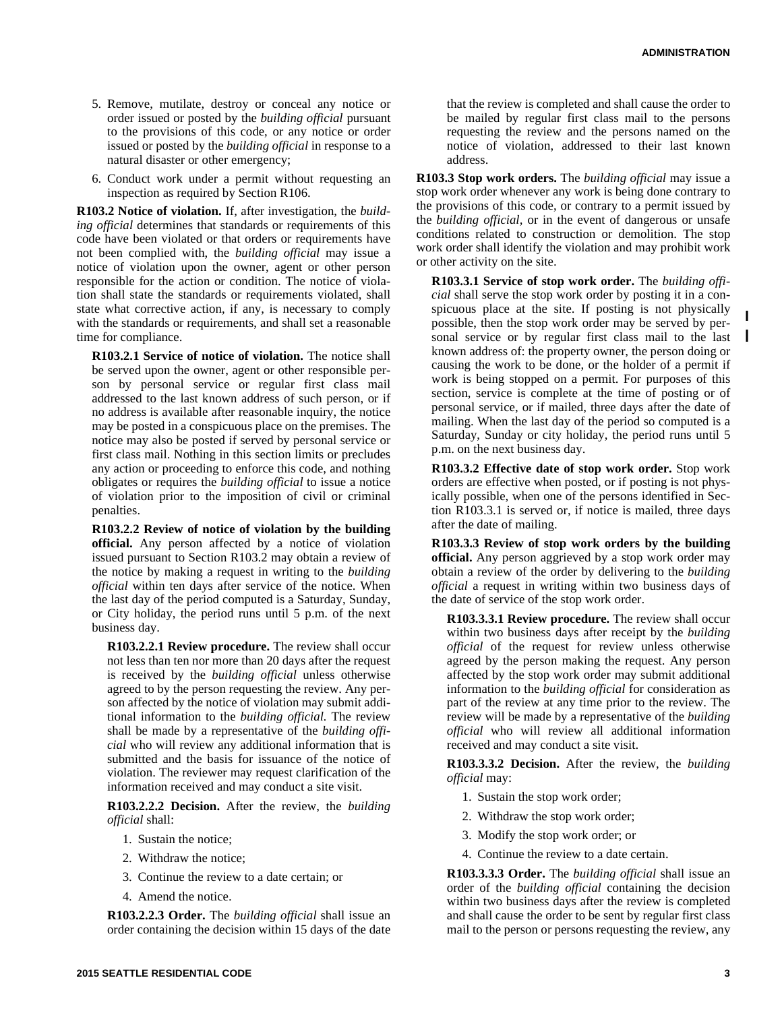- 5. Remove, mutilate, destroy or conceal any notice or order issued or posted by the *building official* pursuant to the provisions of this code, or any notice or order issued or posted by the *building official* in response to a natural disaster or other emergency;
- 6. Conduct work under a permit without requesting an inspection as required by Section R106.

**R103.2 Notice of violation.** If, after investigation, the *building official* determines that standards or requirements of this code have been violated or that orders or requirements have not been complied with, the *building official* may issue a notice of violation upon the owner, agent or other person responsible for the action or condition. The notice of violation shall state the standards or requirements violated, shall state what corrective action, if any, is necessary to comply with the standards or requirements, and shall set a reasonable time for compliance.

**R103.2.1 Service of notice of violation.** The notice shall be served upon the owner, agent or other responsible person by personal service or regular first class mail addressed to the last known address of such person, or if no address is available after reasonable inquiry, the notice may be posted in a conspicuous place on the premises. The notice may also be posted if served by personal service or first class mail. Nothing in this section limits or precludes any action or proceeding to enforce this code, and nothing obligates or requires the *building official* to issue a notice of violation prior to the imposition of civil or criminal penalties.

**R103.2.2 Review of notice of violation by the building official.** Any person affected by a notice of violation issued pursuant to Section R103.2 may obtain a review of the notice by making a request in writing to the *building official* within ten days after service of the notice. When the last day of the period computed is a Saturday, Sunday, or City holiday, the period runs until 5 p.m. of the next business day.

**R103.2.2.1 Review procedure.** The review shall occur not less than ten nor more than 20 days after the request is received by the *building official* unless otherwise agreed to by the person requesting the review. Any person affected by the notice of violation may submit additional information to the *building official.* The review shall be made by a representative of the *building official* who will review any additional information that is submitted and the basis for issuance of the notice of violation. The reviewer may request clarification of the information received and may conduct a site visit.

**R103.2.2.2 Decision.** After the review, the *building official* shall:

- 1. Sustain the notice;
- 2. Withdraw the notice;
- 3. Continue the review to a date certain; or
- 4. Amend the notice.

**R103.2.2.3 Order.** The *building official* shall issue an order containing the decision within 15 days of the date that the review is completed and shall cause the order to be mailed by regular first class mail to the persons requesting the review and the persons named on the notice of violation, addressed to their last known address.

**R103.3 Stop work orders.** The *building official* may issue a stop work order whenever any work is being done contrary to the provisions of this code, or contrary to a permit issued by the *building official,* or in the event of dangerous or unsafe conditions related to construction or demolition. The stop work order shall identify the violation and may prohibit work or other activity on the site.

**R103.3.1 Service of stop work order.** The *building official* shall serve the stop work order by posting it in a conspicuous place at the site. If posting is not physically possible, then the stop work order may be served by personal service or by regular first class mail to the last known address of: the property owner, the person doing or causing the work to be done, or the holder of a permit if work is being stopped on a permit. For purposes of this section, service is complete at the time of posting or of personal service, or if mailed, three days after the date of mailing. When the last day of the period so computed is a Saturday, Sunday or city holiday, the period runs until 5 p.m. on the next business day.

**R103.3.2 Effective date of stop work order.** Stop work orders are effective when posted, or if posting is not physically possible, when one of the persons identified in Section R103.3.1 is served or, if notice is mailed, three days after the date of mailing.

**R103.3.3 Review of stop work orders by the building official.** Any person aggrieved by a stop work order may obtain a review of the order by delivering to the *building official* a request in writing within two business days of the date of service of the stop work order.

**R103.3.3.1 Review procedure.** The review shall occur within two business days after receipt by the *building official* of the request for review unless otherwise agreed by the person making the request. Any person affected by the stop work order may submit additional information to the *building official* for consideration as part of the review at any time prior to the review. The review will be made by a representative of the *building official* who will review all additional information received and may conduct a site visit.

**R103.3.3.2 Decision.** After the review, the *building official* may:

- 1. Sustain the stop work order;
- 2. Withdraw the stop work order;
- 3. Modify the stop work order; or
- 4. Continue the review to a date certain.

**R103.3.3.3 Order.** The *building official* shall issue an order of the *building official* containing the decision within two business days after the review is completed and shall cause the order to be sent by regular first class mail to the person or persons requesting the review, any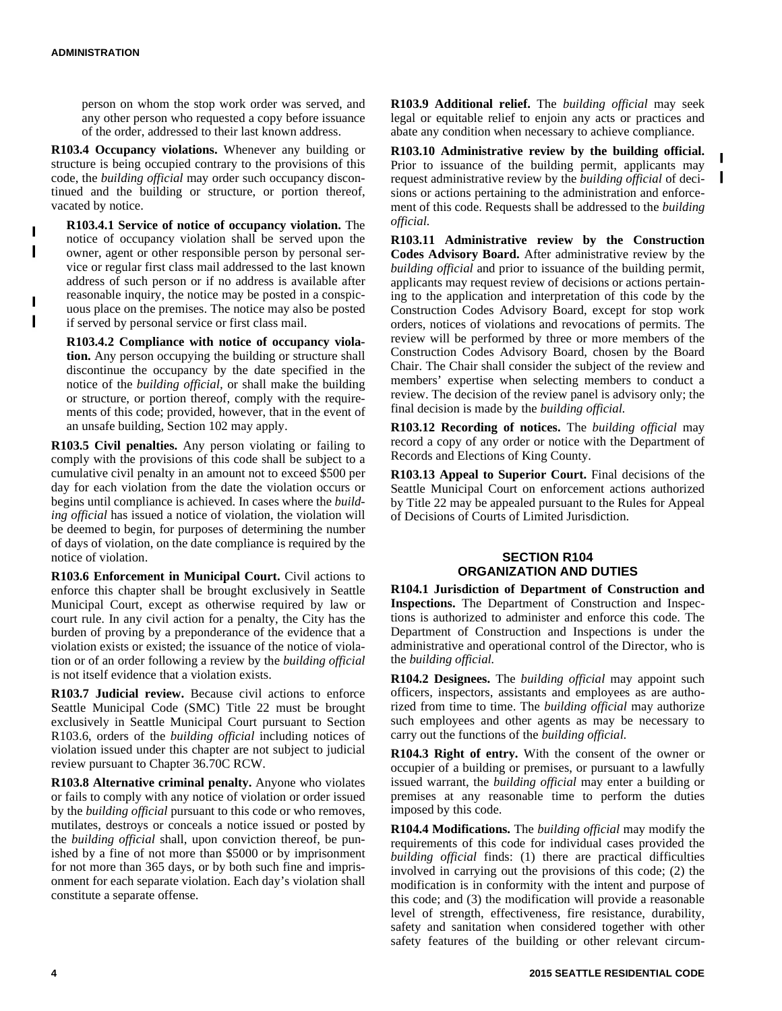person on whom the stop work order was served, and any other person who requested a copy before issuance of the order, addressed to their last known address.

**R103.4 Occupancy violations.** Whenever any building or structure is being occupied contrary to the provisions of this code, the *building official* may order such occupancy discontinued and the building or structure, or portion thereof, vacated by notice.

**R103.4.1 Service of notice of occupancy violation.** The notice of occupancy violation shall be served upon the owner, agent or other responsible person by personal service or regular first class mail addressed to the last known address of such person or if no address is available after reasonable inquiry, the notice may be posted in a conspicuous place on the premises. The notice may also be posted if served by personal service or first class mail.

**R103.4.2 Compliance with notice of occupancy violation.** Any person occupying the building or structure shall discontinue the occupancy by the date specified in the notice of the *building official,* or shall make the building or structure, or portion thereof, comply with the requirements of this code; provided, however, that in the event of an unsafe building, Section 102 may apply.

**R103.5 Civil penalties.** Any person violating or failing to comply with the provisions of this code shall be subject to a cumulative civil penalty in an amount not to exceed \$500 per day for each violation from the date the violation occurs or begins until compliance is achieved. In cases where the *building official* has issued a notice of violation, the violation will be deemed to begin, for purposes of determining the number of days of violation, on the date compliance is required by the notice of violation.

**R103.6 Enforcement in Municipal Court.** Civil actions to enforce this chapter shall be brought exclusively in Seattle Municipal Court, except as otherwise required by law or court rule. In any civil action for a penalty, the City has the burden of proving by a preponderance of the evidence that a violation exists or existed; the issuance of the notice of violation or of an order following a review by the *building official* is not itself evidence that a violation exists.

**R103.7 Judicial review.** Because civil actions to enforce Seattle Municipal Code (SMC) Title 22 must be brought exclusively in Seattle Municipal Court pursuant to Section R103.6, orders of the *building official* including notices of violation issued under this chapter are not subject to judicial review pursuant to Chapter 36.70C RCW.

**R103.8 Alternative criminal penalty.** Anyone who violates or fails to comply with any notice of violation or order issued by the *building official* pursuant to this code or who removes, mutilates, destroys or conceals a notice issued or posted by the *building official* shall, upon conviction thereof, be punished by a fine of not more than \$5000 or by imprisonment for not more than 365 days, or by both such fine and imprisonment for each separate violation. Each day's violation shall constitute a separate offense.

**R103.9 Additional relief.** The *building official* may seek legal or equitable relief to enjoin any acts or practices and abate any condition when necessary to achieve compliance.

**R103.10 Administrative review by the building official.** Prior to issuance of the building permit, applicants may request administrative review by the *building official* of decisions or actions pertaining to the administration and enforcement of this code. Requests shall be addressed to the *building official.*

I

**R103.11 Administrative review by the Construction Codes Advisory Board.** After administrative review by the *building official* and prior to issuance of the building permit, applicants may request review of decisions or actions pertaining to the application and interpretation of this code by the Construction Codes Advisory Board, except for stop work orders, notices of violations and revocations of permits. The review will be performed by three or more members of the Construction Codes Advisory Board, chosen by the Board Chair. The Chair shall consider the subject of the review and members' expertise when selecting members to conduct a review. The decision of the review panel is advisory only; the final decision is made by the *building official.*

**R103.12 Recording of notices.** The *building official* may record a copy of any order or notice with the Department of Records and Elections of King County.

**R103.13 Appeal to Superior Court.** Final decisions of the Seattle Municipal Court on enforcement actions authorized by Title 22 may be appealed pursuant to the Rules for Appeal of Decisions of Courts of Limited Jurisdiction.

#### **SECTION R104 ORGANIZATION AND DUTIES**

**R104.1 Jurisdiction of Department of Construction and Inspections.** The Department of Construction and Inspections is authorized to administer and enforce this code. The Department of Construction and Inspections is under the administrative and operational control of the Director, who is the *building official.*

**R104.2 Designees.** The *building official* may appoint such officers, inspectors, assistants and employees as are authorized from time to time. The *building official* may authorize such employees and other agents as may be necessary to carry out the functions of the *building official.*

**R104.3 Right of entry.** With the consent of the owner or occupier of a building or premises, or pursuant to a lawfully issued warrant, the *building official* may enter a building or premises at any reasonable time to perform the duties imposed by this code.

**R104.4 Modifications.** The *building official* may modify the requirements of this code for individual cases provided the *building official* finds: (1) there are practical difficulties involved in carrying out the provisions of this code; (2) the modification is in conformity with the intent and purpose of this code; and (3) the modification will provide a reasonable level of strength, effectiveness, fire resistance, durability, safety and sanitation when considered together with other safety features of the building or other relevant circum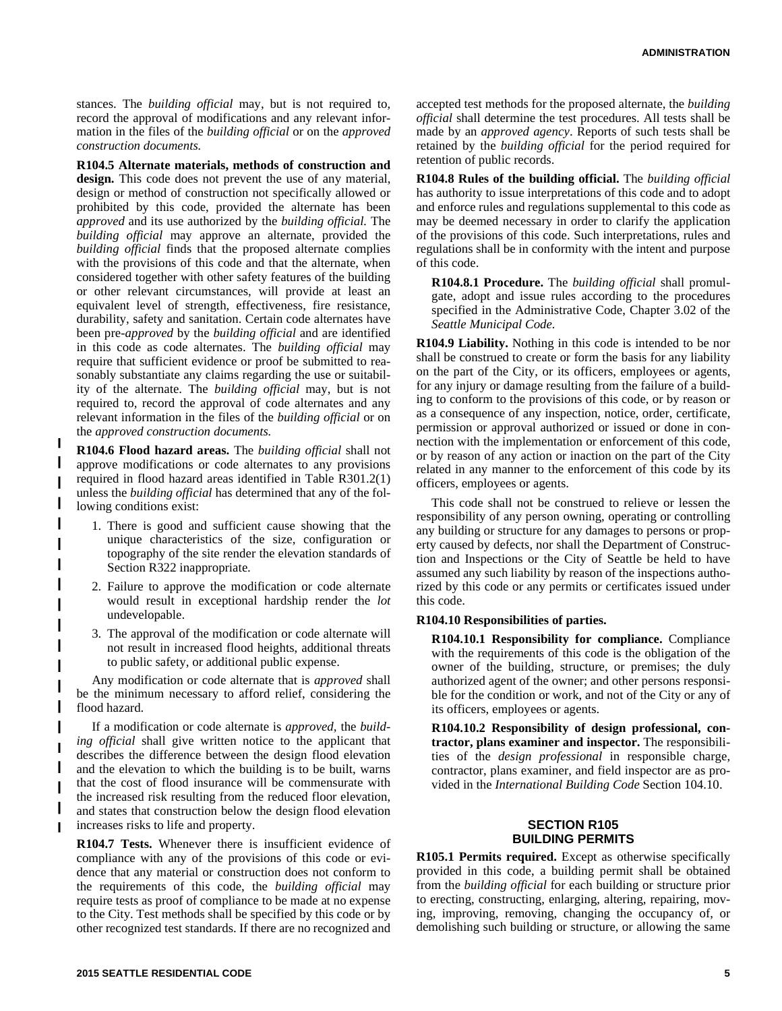stances. The *building official* may, but is not required to, record the approval of modifications and any relevant information in the files of the *building official* or on the *approved construction documents.*

**R104.5 Alternate materials, methods of construction and design.** This code does not prevent the use of any material, design or method of construction not specifically allowed or prohibited by this code, provided the alternate has been *approved* and its use authorized by the *building official.* The *building official* may approve an alternate, provided the *building official* finds that the proposed alternate complies with the provisions of this code and that the alternate, when considered together with other safety features of the building or other relevant circumstances, will provide at least an equivalent level of strength, effectiveness, fire resistance, durability, safety and sanitation. Certain code alternates have been pre-*approved* by the *building official* and are identified in this code as code alternates. The *building official* may require that sufficient evidence or proof be submitted to reasonably substantiate any claims regarding the use or suitability of the alternate. The *building official* may, but is not required to, record the approval of code alternates and any relevant information in the files of the *building official* or on the *approved construction documents.*

**R104.6 Flood hazard areas.** The *building official* shall not approve modifications or code alternates to any provisions required in flood hazard areas identified in Table R301.2(1) unless the *building official* has determined that any of the following conditions exist:

I Π

- 1. There is good and sufficient cause showing that the unique characteristics of the size, configuration or topography of the site render the elevation standards of Section R322 inappropriate.
- 2. Failure to approve the modification or code alternate would result in exceptional hardship render the *lot* undevelopable.
- 3. The approval of the modification or code alternate will not result in increased flood heights, additional threats to public safety, or additional public expense.

Any modification or code alternate that is *approved* shall be the minimum necessary to afford relief, considering the flood hazard.

If a modification or code alternate is *approved,* the *building official* shall give written notice to the applicant that describes the difference between the design flood elevation and the elevation to which the building is to be built, warns that the cost of flood insurance will be commensurate with the increased risk resulting from the reduced floor elevation, and states that construction below the design flood elevation increases risks to life and property.

**R104.7 Tests.** Whenever there is insufficient evidence of compliance with any of the provisions of this code or evidence that any material or construction does not conform to the requirements of this code, the *building official* may require tests as proof of compliance to be made at no expense to the City. Test methods shall be specified by this code or by other recognized test standards. If there are no recognized and

accepted test methods for the proposed alternate, the *building official* shall determine the test procedures. All tests shall be made by an *approved agency*. Reports of such tests shall be retained by the *building official* for the period required for retention of public records.

**R104.8 Rules of the building official.** The *building official* has authority to issue interpretations of this code and to adopt and enforce rules and regulations supplemental to this code as may be deemed necessary in order to clarify the application of the provisions of this code. Such interpretations, rules and regulations shall be in conformity with the intent and purpose of this code.

**R104.8.1 Procedure.** The *building official* shall promulgate, adopt and issue rules according to the procedures specified in the Administrative Code, Chapter 3.02 of the *Seattle Municipal Code.*

**R104.9 Liability.** Nothing in this code is intended to be nor shall be construed to create or form the basis for any liability on the part of the City, or its officers, employees or agents, for any injury or damage resulting from the failure of a building to conform to the provisions of this code, or by reason or as a consequence of any inspection, notice, order, certificate, permission or approval authorized or issued or done in connection with the implementation or enforcement of this code, or by reason of any action or inaction on the part of the City related in any manner to the enforcement of this code by its officers, employees or agents.

This code shall not be construed to relieve or lessen the responsibility of any person owning, operating or controlling any building or structure for any damages to persons or property caused by defects, nor shall the Department of Construction and Inspections or the City of Seattle be held to have assumed any such liability by reason of the inspections authorized by this code or any permits or certificates issued under this code.

#### **R104.10 Responsibilities of parties.**

**R104.10.1 Responsibility for compliance.** Compliance with the requirements of this code is the obligation of the owner of the building, structure, or premises; the duly authorized agent of the owner; and other persons responsible for the condition or work, and not of the City or any of its officers, employees or agents.

**R104.10.2 Responsibility of design professional, contractor, plans examiner and inspector.** The responsibilities of the *design professional* in responsible charge, contractor, plans examiner, and field inspector are as provided in the *International Building Code* Section 104.10.

## **SECTION R105 BUILDING PERMITS**

**R105.1 Permits required.** Except as otherwise specifically provided in this code, a building permit shall be obtained from the *building official* for each building or structure prior to erecting, constructing, enlarging, altering, repairing, moving, improving, removing, changing the occupancy of, or demolishing such building or structure, or allowing the same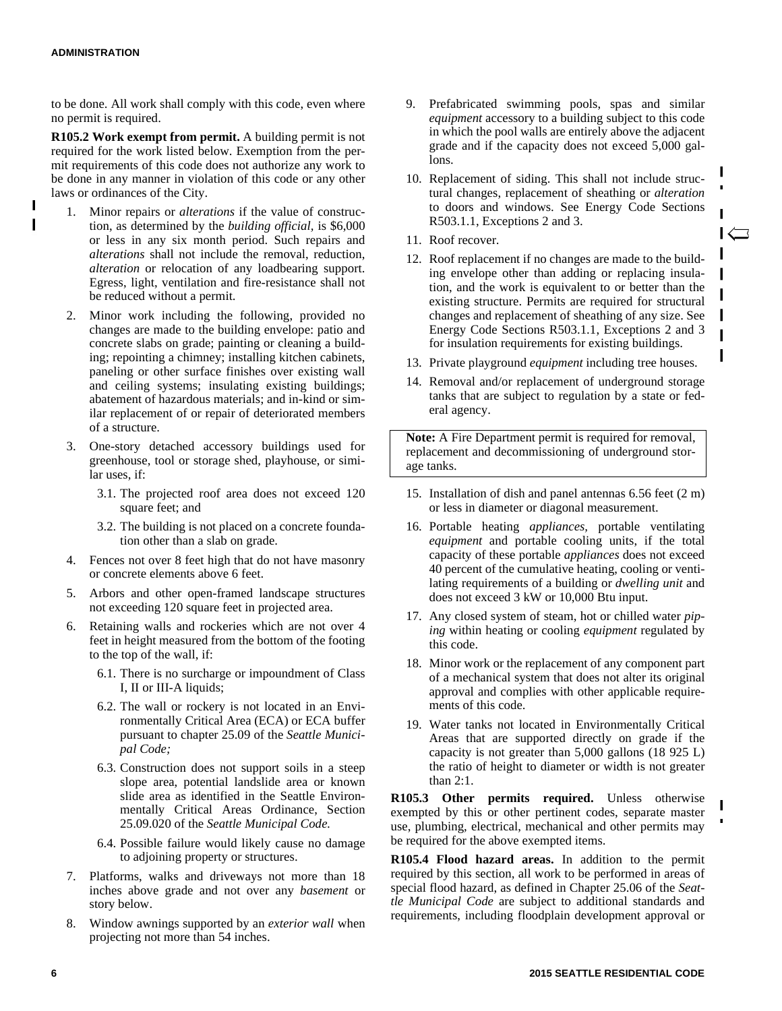$\blacksquare$ 

to be done. All work shall comply with this code, even where no permit is required.

**R105.2 Work exempt from permit.** A building permit is not required for the work listed below. Exemption from the permit requirements of this code does not authorize any work to be done in any manner in violation of this code or any other laws or ordinances of the City.

- 1. Minor repairs or *alterations* if the value of construction, as determined by the *building official,* is \$6,000 or less in any six month period. Such repairs and *alterations* shall not include the removal, reduction, *alteration* or relocation of any loadbearing support. Egress, light, ventilation and fire-resistance shall not be reduced without a permit.
- 2. Minor work including the following, provided no changes are made to the building envelope: patio and concrete slabs on grade; painting or cleaning a building; repointing a chimney; installing kitchen cabinets, paneling or other surface finishes over existing wall and ceiling systems; insulating existing buildings; abatement of hazardous materials; and in-kind or similar replacement of or repair of deteriorated members of a structure.
- 3. One-story detached accessory buildings used for greenhouse, tool or storage shed, playhouse, or similar uses, if:
	- 3.1. The projected roof area does not exceed 120 square feet; and
	- 3.2. The building is not placed on a concrete foundation other than a slab on grade.
- 4. Fences not over 8 feet high that do not have masonry or concrete elements above 6 feet.
- 5. Arbors and other open-framed landscape structures not exceeding 120 square feet in projected area.
- 6. Retaining walls and rockeries which are not over 4 feet in height measured from the bottom of the footing to the top of the wall, if:
	- 6.1. There is no surcharge or impoundment of Class I, II or III-A liquids;
	- 6.2. The wall or rockery is not located in an Environmentally Critical Area (ECA) or ECA buffer pursuant to chapter 25.09 of the *Seattle Municipal Code;*
	- 6.3. Construction does not support soils in a steep slope area, potential landslide area or known slide area as identified in the Seattle Environmentally Critical Areas Ordinance, Section 25.09.020 of the *Seattle Municipal Code.*
	- 6.4. Possible failure would likely cause no damage to adjoining property or structures.
- 7. Platforms, walks and driveways not more than 18 inches above grade and not over any *basement* or story below.
- 8. Window awnings supported by an *exterior wall* when projecting not more than 54 inches.
- 9. Prefabricated swimming pools, spas and similar *equipment* accessory to a building subject to this code in which the pool walls are entirely above the adjacent grade and if the capacity does not exceed 5,000 gallons.
- 10. Replacement of siding. This shall not include structural changes, replacement of sheathing or *alteration* to doors and windows. See Energy Code Sections R503.1.1, Exceptions 2 and 3.
- 11. Roof recover.
- 12. Roof replacement if no changes are made to the building envelope other than adding or replacing insulation, and the work is equivalent to or better than the existing structure. Permits are required for structural changes and replacement of sheathing of any size. See Energy Code Sections R503.1.1, Exceptions 2 and 3 for insulation requirements for existing buildings.
- 13. Private playground *equipment* including tree houses.

I

Π

14. Removal and/or replacement of underground storage tanks that are subject to regulation by a state or federal agency.

**Note:** A Fire Department permit is required for removal, replacement and decommissioning of underground storage tanks.

- 15. Installation of dish and panel antennas 6.56 feet (2 m) or less in diameter or diagonal measurement.
- 16. Portable heating *appliances,* portable ventilating *equipment* and portable cooling units, if the total capacity of these portable *appliances* does not exceed 40 percent of the cumulative heating, cooling or ventilating requirements of a building or *dwelling unit* and does not exceed 3 kW or 10,000 Btu input.
- 17. Any closed system of steam, hot or chilled water *piping* within heating or cooling *equipment* regulated by this code.
- 18. Minor work or the replacement of any component part of a mechanical system that does not alter its original approval and complies with other applicable requirements of this code.
- 19. Water tanks not located in Environmentally Critical Areas that are supported directly on grade if the capacity is not greater than 5,000 gallons (18 925 L) the ratio of height to diameter or width is not greater than 2:1.

**R105.3 Other permits required.** Unless otherwise exempted by this or other pertinent codes, separate master use, plumbing, electrical, mechanical and other permits may be required for the above exempted items.

**R105.4 Flood hazard areas.** In addition to the permit required by this section, all work to be performed in areas of special flood hazard, as defined in Chapter 25.06 of the *Seattle Municipal Code* are subject to additional standards and requirements, including floodplain development approval or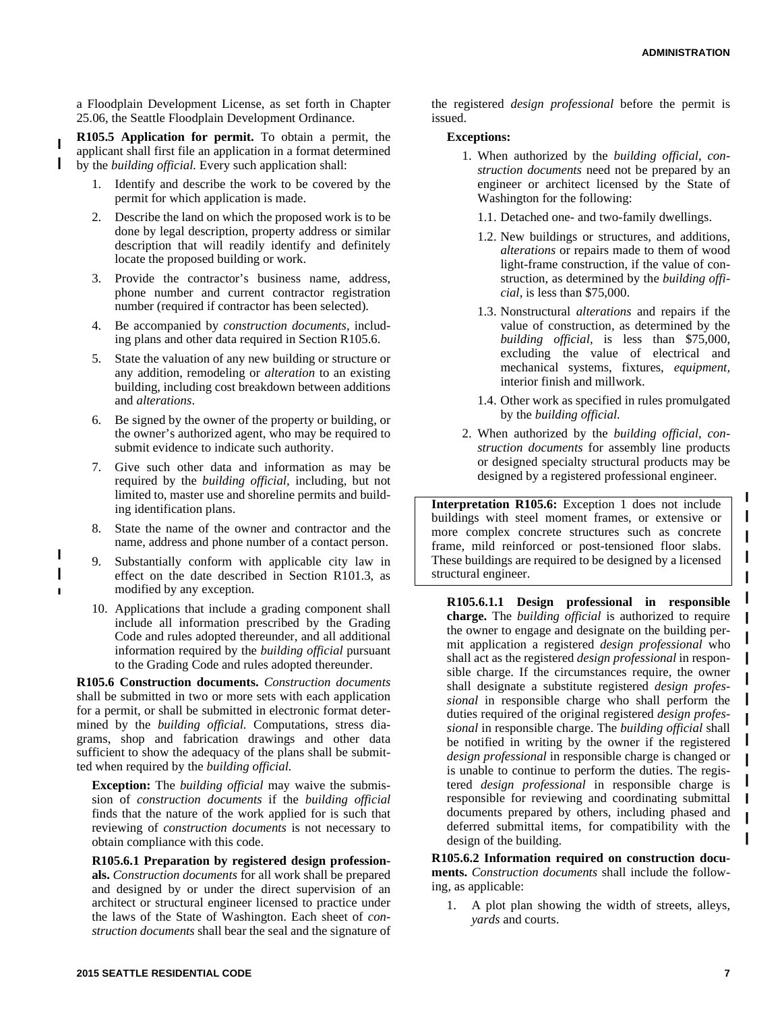a Floodplain Development License, as set forth in Chapter 25.06, the Seattle Floodplain Development Ordinance.

**R105.5 Application for permit.** To obtain a permit, the applicant shall first file an application in a format determined by the *building official.* Every such application shall:

- 1. Identify and describe the work to be covered by the permit for which application is made.
- 2. Describe the land on which the proposed work is to be done by legal description, property address or similar description that will readily identify and definitely locate the proposed building or work.
- 3. Provide the contractor's business name, address, phone number and current contractor registration number (required if contractor has been selected).
- 4. Be accompanied by *construction documents,* including plans and other data required in Section R105.6.
- 5. State the valuation of any new building or structure or any addition, remodeling or *alteration* to an existing building, including cost breakdown between additions and *alterations*.
- 6. Be signed by the owner of the property or building, or the owner's authorized agent, who may be required to submit evidence to indicate such authority.
- 7. Give such other data and information as may be required by the *building official,* including, but not limited to, master use and shoreline permits and building identification plans.
- 8. State the name of the owner and contractor and the name, address and phone number of a contact person.
- 9. Substantially conform with applicable city law in effect on the date described in Section R101.3, as modified by any exception.
- 10. Applications that include a grading component shall include all information prescribed by the Grading Code and rules adopted thereunder, and all additional information required by the *building official* pursuant to the Grading Code and rules adopted thereunder.

**R105.6 Construction documents.** *Construction documents* shall be submitted in two or more sets with each application for a permit, or shall be submitted in electronic format determined by the *building official.* Computations, stress diagrams, shop and fabrication drawings and other data sufficient to show the adequacy of the plans shall be submitted when required by the *building official.*

**Exception:** The *building official* may waive the submission of *construction documents* if the *building official* finds that the nature of the work applied for is such that reviewing of *construction documents* is not necessary to obtain compliance with this code.

**R105.6.1 Preparation by registered design professionals.** *Construction documents* for all work shall be prepared and designed by or under the direct supervision of an architect or structural engineer licensed to practice under the laws of the State of Washington. Each sheet of *construction documents* shall bear the seal and the signature of the registered *design professional* before the permit is issued.

#### **Exceptions:**

- 1. When authorized by the *building official, construction documents* need not be prepared by an engineer or architect licensed by the State of Washington for the following:
	- 1.1. Detached one- and two-family dwellings.
	- 1.2. New buildings or structures, and additions, *alterations* or repairs made to them of wood light-frame construction, if the value of construction, as determined by the *building official,* is less than \$75,000.
	- 1.3. Nonstructural *alterations* and repairs if the value of construction, as determined by the *building official,* is less than \$75,000, excluding the value of electrical and mechanical systems, fixtures, *equipment,* interior finish and millwork.
	- 1.4. Other work as specified in rules promulgated by the *building official.*
- 2. When authorized by the *building official, construction documents* for assembly line products or designed specialty structural products may be designed by a registered professional engineer.

**Interpretation R105.6:** Exception 1 does not include buildings with steel moment frames, or extensive or more complex concrete structures such as concrete frame, mild reinforced or post-tensioned floor slabs. These buildings are required to be designed by a licensed structural engineer.

**R105.6.1.1 Design professional in responsible charge.** The *building official* is authorized to require the owner to engage and designate on the building permit application a registered *design professional* who shall act as the registered *design professional* in responsible charge. If the circumstances require, the owner shall designate a substitute registered *design professional* in responsible charge who shall perform the duties required of the original registered *design professional* in responsible charge. The *building official* shall be notified in writing by the owner if the registered *design professional* in responsible charge is changed or is unable to continue to perform the duties. The registered *design professional* in responsible charge is responsible for reviewing and coordinating submittal documents prepared by others, including phased and deferred submittal items, for compatibility with the design of the building.

**R105.6.2 Information required on construction documents.** *Construction documents* shall include the following, as applicable:

1. A plot plan showing the width of streets, alleys, *yards* and courts.

П

I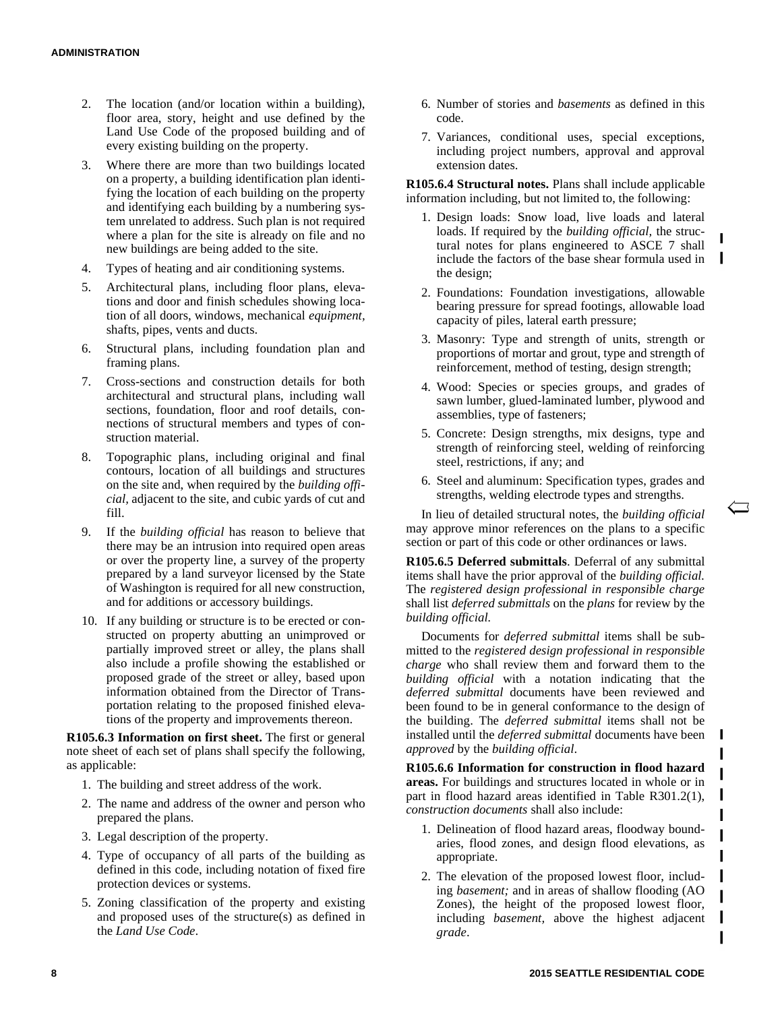- 2. The location (and/or location within a building), floor area, story, height and use defined by the Land Use Code of the proposed building and of every existing building on the property.
- 3. Where there are more than two buildings located on a property, a building identification plan identifying the location of each building on the property and identifying each building by a numbering system unrelated to address. Such plan is not required where a plan for the site is already on file and no new buildings are being added to the site.
- 4. Types of heating and air conditioning systems.
- 5. Architectural plans, including floor plans, elevations and door and finish schedules showing location of all doors, windows, mechanical *equipment,* shafts, pipes, vents and ducts.
- 6. Structural plans, including foundation plan and framing plans.
- 7. Cross-sections and construction details for both architectural and structural plans, including wall sections, foundation, floor and roof details, connections of structural members and types of construction material.
- 8. Topographic plans, including original and final contours, location of all buildings and structures on the site and, when required by the *building official,* adjacent to the site, and cubic yards of cut and fill.
- 9. If the *building official* has reason to believe that there may be an intrusion into required open areas or over the property line, a survey of the property prepared by a land surveyor licensed by the State of Washington is required for all new construction, and for additions or accessory buildings.
- 10. If any building or structure is to be erected or constructed on property abutting an unimproved or partially improved street or alley, the plans shall also include a profile showing the established or proposed grade of the street or alley, based upon information obtained from the Director of Transportation relating to the proposed finished elevations of the property and improvements thereon.

**R105.6.3 Information on first sheet.** The first or general note sheet of each set of plans shall specify the following, as applicable:

- 1. The building and street address of the work.
- 2. The name and address of the owner and person who prepared the plans.
- 3. Legal description of the property.
- 4. Type of occupancy of all parts of the building as defined in this code, including notation of fixed fire protection devices or systems.
- 5. Zoning classification of the property and existing and proposed uses of the structure(s) as defined in the *Land Use Code*.
- 6. Number of stories and *basements* as defined in this code.
- 7. Variances, conditional uses, special exceptions, including project numbers, approval and approval extension dates.

**R105.6.4 Structural notes.** Plans shall include applicable information including, but not limited to, the following:

- 1. Design loads: Snow load, live loads and lateral loads. If required by the *building official,* the structural notes for plans engineered to ASCE 7 shall include the factors of the base shear formula used in the design;
- 2. Foundations: Foundation investigations, allowable bearing pressure for spread footings, allowable load capacity of piles, lateral earth pressure;
- 3. Masonry: Type and strength of units, strength or proportions of mortar and grout, type and strength of reinforcement, method of testing, design strength;
- 4. Wood: Species or species groups, and grades of sawn lumber, glued-laminated lumber, plywood and assemblies, type of fasteners;
- 5. Concrete: Design strengths, mix designs, type and strength of reinforcing steel, welding of reinforcing steel, restrictions, if any; and
- 6. Steel and aluminum: Specification types, grades and strengths, welding electrode types and strengths.

In lieu of detailed structural notes, the *building official* may approve minor references on the plans to a specific section or part of this code or other ordinances or laws.

**R105.6.5 Deferred submittals**. Deferral of any submittal items shall have the prior approval of the *building official.* The *registered design professional in responsible charge* shall list *deferred submittals* on the *plans* for review by the *building official.*

Documents for *deferred submittal* items shall be submitted to the *registered design professional in responsible charge* who shall review them and forward them to the *building official* with a notation indicating that the *deferred submittal* documents have been reviewed and been found to be in general conformance to the design of the building. The *deferred submittal* items shall not be installed until the *deferred submittal* documents have been *approved* by the *building official*.

**R105.6.6 Information for construction in flood hazard RIUS.6.6 Information for construction in 1100d hazard areas.** For buildings and structures located in whole or in part in flood hazard areas identified in Table R301.2(1), *construction documents* shall also include:

- 1. Delineation of flood hazard areas, floodway boundaries, flood zones, and design flood elevations, as appropriate.
- 2. The elevation of the proposed lowest floor, including *basement;* and in areas of shallow flooding (AO Zones), the height of the proposed lowest floor, including *basement,* above the highest adjacent *grade*.

 $\mathbf{I}$ 

L

L

I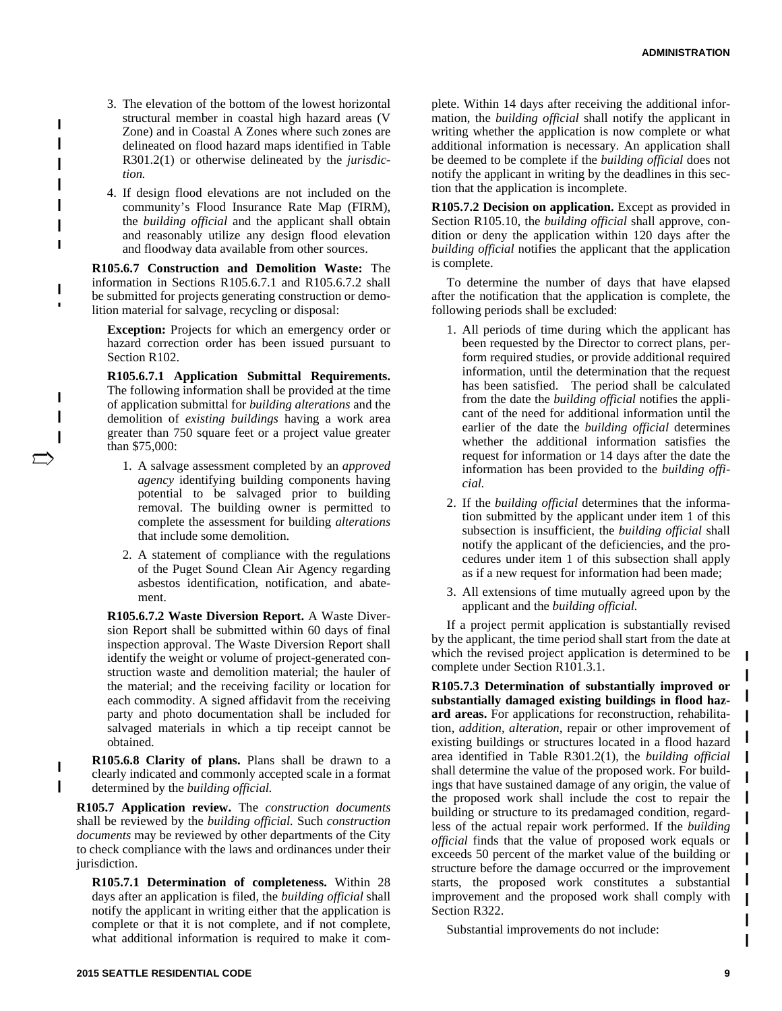3. The elevation of the bottom of the lowest horizontal structural member in coastal high hazard areas (V Zone) and in Coastal A Zones where such zones are delineated on flood hazard maps identified in Table R301.2(1) or otherwise delineated by the *jurisdiction.*

I

4. If design flood elevations are not included on the community's Flood Insurance Rate Map (FIRM), the *building official* and the applicant shall obtain and reasonably utilize any design flood elevation and floodway data available from other sources.

**R105.6.7 Construction and Demolition Waste:** The information in Sections R105.6.7.1 and R105.6.7.2 shall be submitted for projects generating construction or demolition material for salvage, recycling or disposal:

**Exception:** Projects for which an emergency order or hazard correction order has been issued pursuant to Section R102.

**R105.6.7.1 Application Submittal Requirements.** The following information shall be provided at the time of application submittal for *building alterations* and the demolition of *existing buildings* having a work area greater than 750 square feet or a project value greater than \$75,000:

- 1. A salvage assessment completed by an *approved agency* identifying building components having potential to be salvaged prior to building removal. The building owner is permitted to complete the assessment for building *alterations* that include some demolition.
- 2. A statement of compliance with the regulations of the Puget Sound Clean Air Agency regarding asbestos identification, notification, and abatement.

**R105.6.7.2 Waste Diversion Report.** A Waste Diversion Report shall be submitted within 60 days of final inspection approval. The Waste Diversion Report shall identify the weight or volume of project-generated construction waste and demolition material; the hauler of the material; and the receiving facility or location for each commodity. A signed affidavit from the receiving party and photo documentation shall be included for salvaged materials in which a tip receipt cannot be obtained.

**R105.6.8 Clarity of plans.** Plans shall be drawn to a clearly indicated and commonly accepted scale in a format determined by the *building official.*

**R105.7 Application review.** The *construction documents* shall be reviewed by the *building official.* Such *construction documents* may be reviewed by other departments of the City to check compliance with the laws and ordinances under their jurisdiction.

**R105.7.1 Determination of completeness.** Within 28 days after an application is filed, the *building official* shall notify the applicant in writing either that the application is complete or that it is not complete, and if not complete, what additional information is required to make it com-

plete. Within 14 days after receiving the additional information, the *building official* shall notify the applicant in writing whether the application is now complete or what additional information is necessary. An application shall be deemed to be complete if the *building official* does not notify the applicant in writing by the deadlines in this section that the application is incomplete.

**R105.7.2 Decision on application.** Except as provided in Section R105.10, the *building official* shall approve, condition or deny the application within 120 days after the *building official* notifies the applicant that the application is complete.

To determine the number of days that have elapsed after the notification that the application is complete, the following periods shall be excluded:

- 1. All periods of time during which the applicant has been requested by the Director to correct plans, perform required studies, or provide additional required information, until the determination that the request has been satisfied. The period shall be calculated from the date the *building official* notifies the applicant of the need for additional information until the earlier of the date the *building official* determines whether the additional information satisfies the request for information or 14 days after the date the information has been provided to the *building official.*
- 2. If the *building official* determines that the information submitted by the applicant under item 1 of this subsection is insufficient, the *building official* shall notify the applicant of the deficiencies, and the procedures under item 1 of this subsection shall apply as if a new request for information had been made;
- 3. All extensions of time mutually agreed upon by the applicant and the *building official.*

If a project permit application is substantially revised by the applicant, the time period shall start from the date at which the revised project application is determined to be complete under Section R101.3.1.

**R105.7.3 Determination of substantially improved or substantially damaged existing buildings in flood hazard areas.** For applications for reconstruction, rehabilitation, *addition, alteration,* repair or other improvement of existing buildings or structures located in a flood hazard area identified in Table R301.2(1), the *building official* shall determine the value of the proposed work. For buildings that have sustained damage of any origin, the value of the proposed work shall include the cost to repair the building or structure to its predamaged condition, regardless of the actual repair work performed. If the *building official* finds that the value of proposed work equals or exceeds 50 percent of the market value of the building or structure before the damage occurred or the improvement starts, the proposed work constitutes a substantial improvement and the proposed work shall comply with Section R322.

Substantial improvements do not include: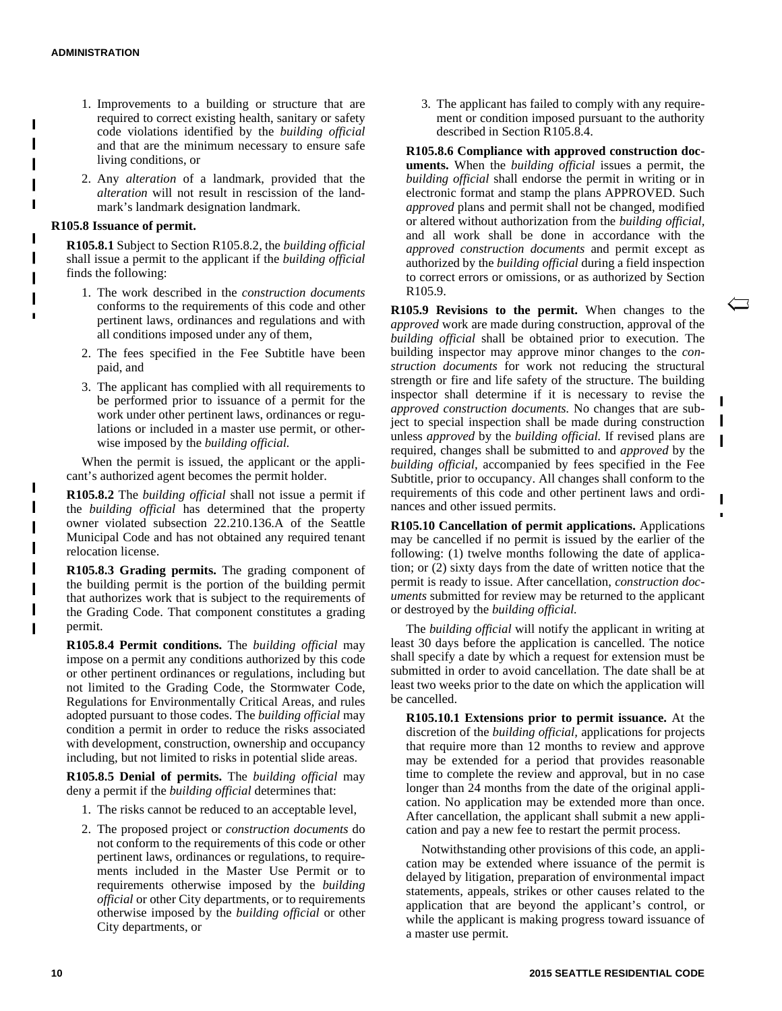П

 $\blacksquare$ 

 $\blacksquare$ 

- 1. Improvements to a building or structure that are required to correct existing health, sanitary or safety code violations identified by the *building official* and that are the minimum necessary to ensure safe living conditions, or
- 2. Any *alteration* of a landmark, provided that the *alteration* will not result in rescission of the landmark's landmark designation landmark.

#### **R105.8 Issuance of permit.**

**R105.8.1** Subject to Section R105.8.2, the *building official* shall issue a permit to the applicant if the *building official* finds the following:

- 1. The work described in the *construction documents* conforms to the requirements of this code and other pertinent laws, ordinances and regulations and with all conditions imposed under any of them,
- 2. The fees specified in the Fee Subtitle have been paid, and
- 3. The applicant has complied with all requirements to be performed prior to issuance of a permit for the work under other pertinent laws, ordinances or regulations or included in a master use permit, or otherwise imposed by the *building official.*

When the permit is issued, the applicant or the applicant's authorized agent becomes the permit holder.

**R105.8.2** The *building official* shall not issue a permit if the *building official* has determined that the property owner violated subsection 22.210.136.A of the Seattle Municipal Code and has not obtained any required tenant relocation license.

**R105.8.3 Grading permits.** The grading component of the building permit is the portion of the building permit that authorizes work that is subject to the requirements of the Grading Code. That component constitutes a grading permit.

**R105.8.4 Permit conditions.** The *building official* may impose on a permit any conditions authorized by this code or other pertinent ordinances or regulations, including but not limited to the Grading Code, the Stormwater Code, Regulations for Environmentally Critical Areas, and rules adopted pursuant to those codes. The *building official* may condition a permit in order to reduce the risks associated with development, construction, ownership and occupancy including, but not limited to risks in potential slide areas.

**R105.8.5 Denial of permits.** The *building official* may deny a permit if the *building official* determines that:

- 1. The risks cannot be reduced to an acceptable level,
- 2. The proposed project or *construction documents* do not conform to the requirements of this code or other pertinent laws, ordinances or regulations, to requirements included in the Master Use Permit or to requirements otherwise imposed by the *building official* or other City departments, or to requirements otherwise imposed by the *building official* or other City departments, or

3. The applicant has failed to comply with any requirement or condition imposed pursuant to the authority described in Section R105.8.4.

**R105.8.6 Compliance with approved construction documents.** When the *building official* issues a permit, the *building official* shall endorse the permit in writing or in electronic format and stamp the plans APPROVED. Such *approved* plans and permit shall not be changed, modified or altered without authorization from the *building official,* and all work shall be done in accordance with the *approved construction documents* and permit except as authorized by the *building official* during a field inspection to correct errors or omissions, or as authorized by Section R105.9.

**R105.9 Revisions to the permit.** When changes to the *approved* work are made during construction, approval of the *building official* shall be obtained prior to execution. The building inspector may approve minor changes to the *construction documents* for work not reducing the structural strength or fire and life safety of the structure. The building inspector shall determine if it is necessary to revise the *approved construction documents.* No changes that are subject to special inspection shall be made during construction unless *approved* by the *building official.* If revised plans are required, changes shall be submitted to and *approved* by the *building official,* accompanied by fees specified in the Fee Subtitle, prior to occupancy. All changes shall conform to the requirements of this code and other pertinent laws and ordinances and other issued permits.

I

Ī

**R105.10 Cancellation of permit applications.** Applications may be cancelled if no permit is issued by the earlier of the following: (1) twelve months following the date of application; or (2) sixty days from the date of written notice that the permit is ready to issue. After cancellation, *construction documents* submitted for review may be returned to the applicant or destroyed by the *building official.*

The *building official* will notify the applicant in writing at least 30 days before the application is cancelled. The notice shall specify a date by which a request for extension must be submitted in order to avoid cancellation. The date shall be at least two weeks prior to the date on which the application will be cancelled.

**R105.10.1 Extensions prior to permit issuance.** At the discretion of the *building official,* applications for projects that require more than 12 months to review and approve may be extended for a period that provides reasonable time to complete the review and approval, but in no case longer than 24 months from the date of the original application. No application may be extended more than once. After cancellation, the applicant shall submit a new application and pay a new fee to restart the permit process.

Notwithstanding other provisions of this code, an application may be extended where issuance of the permit is delayed by litigation, preparation of environmental impact statements, appeals, strikes or other causes related to the application that are beyond the applicant's control, or while the applicant is making progress toward issuance of a master use permit.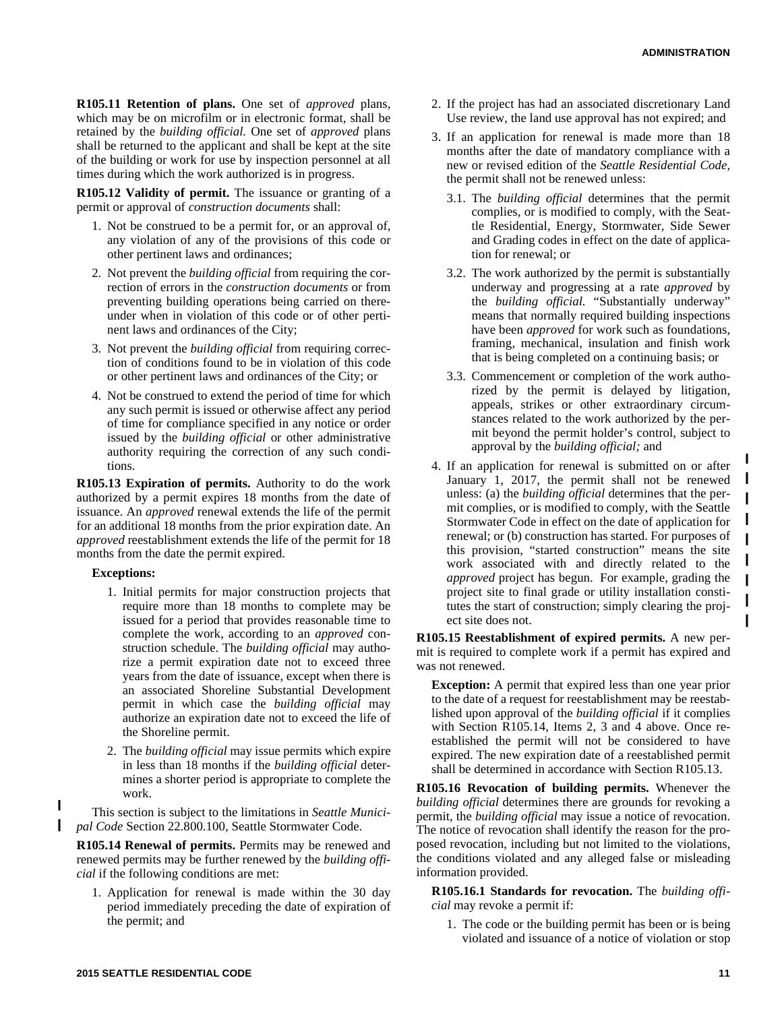**R105.11 Retention of plans.** One set of *approved* plans, which may be on microfilm or in electronic format, shall be retained by the *building official.* One set of *approved* plans shall be returned to the applicant and shall be kept at the site of the building or work for use by inspection personnel at all times during which the work authorized is in progress.

**R105.12 Validity of permit.** The issuance or granting of a permit or approval of *construction documents* shall:

- 1. Not be construed to be a permit for, or an approval of, any violation of any of the provisions of this code or other pertinent laws and ordinances;
- 2. Not prevent the *building official* from requiring the correction of errors in the *construction documents* or from preventing building operations being carried on thereunder when in violation of this code or of other pertinent laws and ordinances of the City;
- 3. Not prevent the *building official* from requiring correction of conditions found to be in violation of this code or other pertinent laws and ordinances of the City; or
- 4. Not be construed to extend the period of time for which any such permit is issued or otherwise affect any period of time for compliance specified in any notice or order issued by the *building official* or other administrative authority requiring the correction of any such conditions.

**R105.13 Expiration of permits.** Authority to do the work authorized by a permit expires 18 months from the date of issuance. An *approved* renewal extends the life of the permit for an additional 18 months from the prior expiration date. An *approved* reestablishment extends the life of the permit for 18 months from the date the permit expired.

#### **Exceptions:**

ι

- 1. Initial permits for major construction projects that require more than 18 months to complete may be issued for a period that provides reasonable time to complete the work, according to an *approved* construction schedule. The *building official* may authorize a permit expiration date not to exceed three years from the date of issuance, except when there is an associated Shoreline Substantial Development permit in which case the *building official* may authorize an expiration date not to exceed the life of the Shoreline permit.
- 2. The *building official* may issue permits which expire in less than 18 months if the *building official* determines a shorter period is appropriate to complete the work.

This section is subject to the limitations in *Seattle Municipal Code* Section 22.800.100, Seattle Stormwater Code.

**R105.14 Renewal of permits.** Permits may be renewed and renewed permits may be further renewed by the *building official* if the following conditions are met:

1. Application for renewal is made within the 30 day period immediately preceding the date of expiration of the permit; and

- 2. If the project has had an associated discretionary Land Use review, the land use approval has not expired; and
- 3. If an application for renewal is made more than 18 months after the date of mandatory compliance with a new or revised edition of the *Seattle Residential Code*, the permit shall not be renewed unless:
	- 3.1. The *building official* determines that the permit complies, or is modified to comply, with the Seattle Residential, Energy, Stormwater, Side Sewer and Grading codes in effect on the date of application for renewal; or
	- 3.2. The work authorized by the permit is substantially underway and progressing at a rate *approved* by the *building official.* "Substantially underway" means that normally required building inspections have been *approved* for work such as foundations, framing, mechanical, insulation and finish work that is being completed on a continuing basis; or
	- 3.3. Commencement or completion of the work authorized by the permit is delayed by litigation, appeals, strikes or other extraordinary circumstances related to the work authorized by the permit beyond the permit holder's control, subject to approval by the *building official;* and
- 4. If an application for renewal is submitted on or after January 1, 2017, the permit shall not be renewed unless: (a) the *building official* determines that the permit complies, or is modified to comply, with the Seattle Stormwater Code in effect on the date of application for renewal; or (b) construction has started. For purposes of this provision, "started construction" means the site work associated with and directly related to the *approved* project has begun. For example, grading the project site to final grade or utility installation constitutes the start of construction; simply clearing the project site does not.

**R105.15 Reestablishment of expired permits.** A new permit is required to complete work if a permit has expired and was not renewed.

**Exception:** A permit that expired less than one year prior to the date of a request for reestablishment may be reestablished upon approval of the *building official* if it complies with Section R105.14, Items 2, 3 and 4 above. Once reestablished the permit will not be considered to have expired. The new expiration date of a reestablished permit shall be determined in accordance with Section R105.13.

**R105.16 Revocation of building permits.** Whenever the *building official* determines there are grounds for revoking a permit, the *building official* may issue a notice of revocation. The notice of revocation shall identify the reason for the proposed revocation, including but not limited to the violations, the conditions violated and any alleged false or misleading information provided.

**R105.16.1 Standards for revocation.** The *building official* may revoke a permit if:

1. The code or the building permit has been or is being violated and issuance of a notice of violation or stop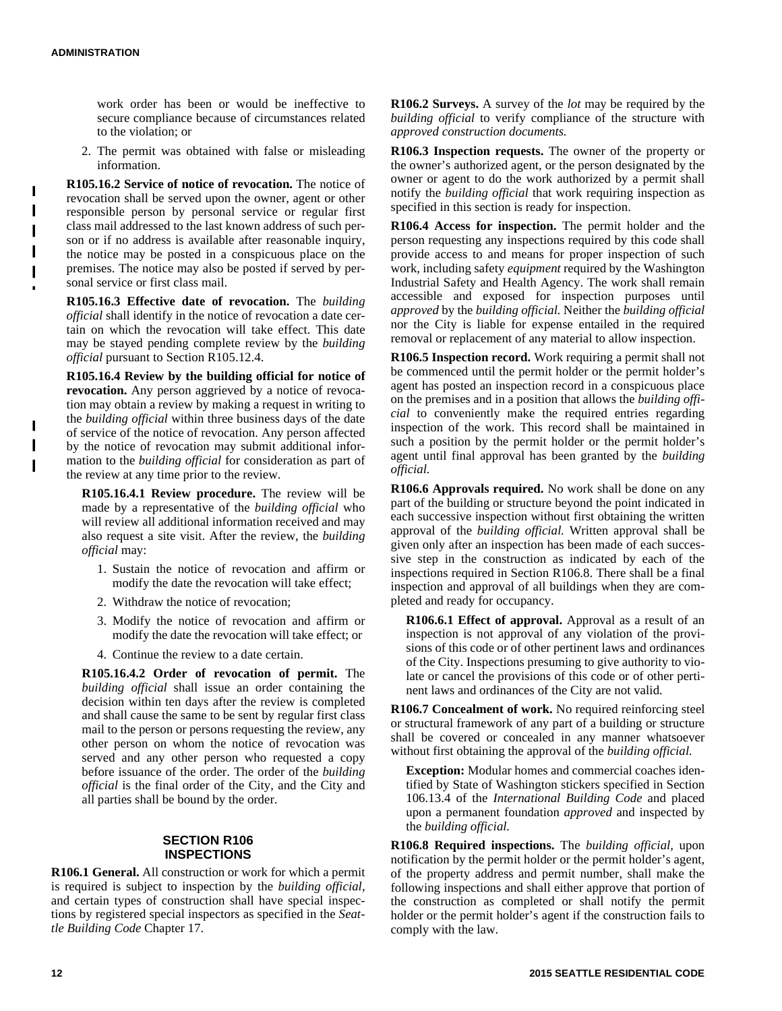$\mathbf{I}$ 

work order has been or would be ineffective to secure compliance because of circumstances related to the violation; or

2. The permit was obtained with false or misleading information.

**R105.16.2 Service of notice of revocation.** The notice of revocation shall be served upon the owner, agent or other responsible person by personal service or regular first class mail addressed to the last known address of such person or if no address is available after reasonable inquiry, the notice may be posted in a conspicuous place on the premises. The notice may also be posted if served by personal service or first class mail.

**R105.16.3 Effective date of revocation.** The *building official* shall identify in the notice of revocation a date certain on which the revocation will take effect. This date may be stayed pending complete review by the *building official* pursuant to Section R105.12.4.

**R105.16.4 Review by the building official for notice of revocation.** Any person aggrieved by a notice of revocation may obtain a review by making a request in writing to the *building official* within three business days of the date of service of the notice of revocation. Any person affected by the notice of revocation may submit additional information to the *building official* for consideration as part of the review at any time prior to the review.

**R105.16.4.1 Review procedure.** The review will be made by a representative of the *building official* who will review all additional information received and may also request a site visit. After the review, the *building official* may:

- 1. Sustain the notice of revocation and affirm or modify the date the revocation will take effect;
- 2. Withdraw the notice of revocation;
- 3. Modify the notice of revocation and affirm or modify the date the revocation will take effect; or
- 4. Continue the review to a date certain.

**R105.16.4.2 Order of revocation of permit.** The *building official* shall issue an order containing the decision within ten days after the review is completed and shall cause the same to be sent by regular first class mail to the person or persons requesting the review, any other person on whom the notice of revocation was served and any other person who requested a copy before issuance of the order. The order of the *building official* is the final order of the City, and the City and all parties shall be bound by the order.

#### **SECTION R106 INSPECTIONS**

**R106.1 General.** All construction or work for which a permit is required is subject to inspection by the *building official,* and certain types of construction shall have special inspections by registered special inspectors as specified in the *Seattle Building Code* Chapter 17.

**R106.2 Surveys.** A survey of the *lot* may be required by the *building official* to verify compliance of the structure with *approved construction documents.*

**R106.3 Inspection requests.** The owner of the property or the owner's authorized agent, or the person designated by the owner or agent to do the work authorized by a permit shall notify the *building official* that work requiring inspection as specified in this section is ready for inspection.

**R106.4 Access for inspection.** The permit holder and the person requesting any inspections required by this code shall provide access to and means for proper inspection of such work, including safety *equipment* required by the Washington Industrial Safety and Health Agency. The work shall remain accessible and exposed for inspection purposes until *approved* by the *building official.* Neither the *building official* nor the City is liable for expense entailed in the required removal or replacement of any material to allow inspection.

**R106.5 Inspection record.** Work requiring a permit shall not be commenced until the permit holder or the permit holder's agent has posted an inspection record in a conspicuous place on the premises and in a position that allows the *building official* to conveniently make the required entries regarding inspection of the work. This record shall be maintained in such a position by the permit holder or the permit holder's agent until final approval has been granted by the *building official.*

**R106.6 Approvals required.** No work shall be done on any part of the building or structure beyond the point indicated in each successive inspection without first obtaining the written approval of the *building official.* Written approval shall be given only after an inspection has been made of each successive step in the construction as indicated by each of the inspections required in Section R106.8. There shall be a final inspection and approval of all buildings when they are completed and ready for occupancy.

**R106.6.1 Effect of approval.** Approval as a result of an inspection is not approval of any violation of the provisions of this code or of other pertinent laws and ordinances of the City. Inspections presuming to give authority to violate or cancel the provisions of this code or of other pertinent laws and ordinances of the City are not valid.

**R106.7 Concealment of work.** No required reinforcing steel or structural framework of any part of a building or structure shall be covered or concealed in any manner whatsoever without first obtaining the approval of the *building official.*

**Exception:** Modular homes and commercial coaches identified by State of Washington stickers specified in Section 106.13.4 of the *International Building Code* and placed upon a permanent foundation *approved* and inspected by the *building official.*

**R106.8 Required inspections.** The *building official,* upon notification by the permit holder or the permit holder's agent, of the property address and permit number, shall make the following inspections and shall either approve that portion of the construction as completed or shall notify the permit holder or the permit holder's agent if the construction fails to comply with the law.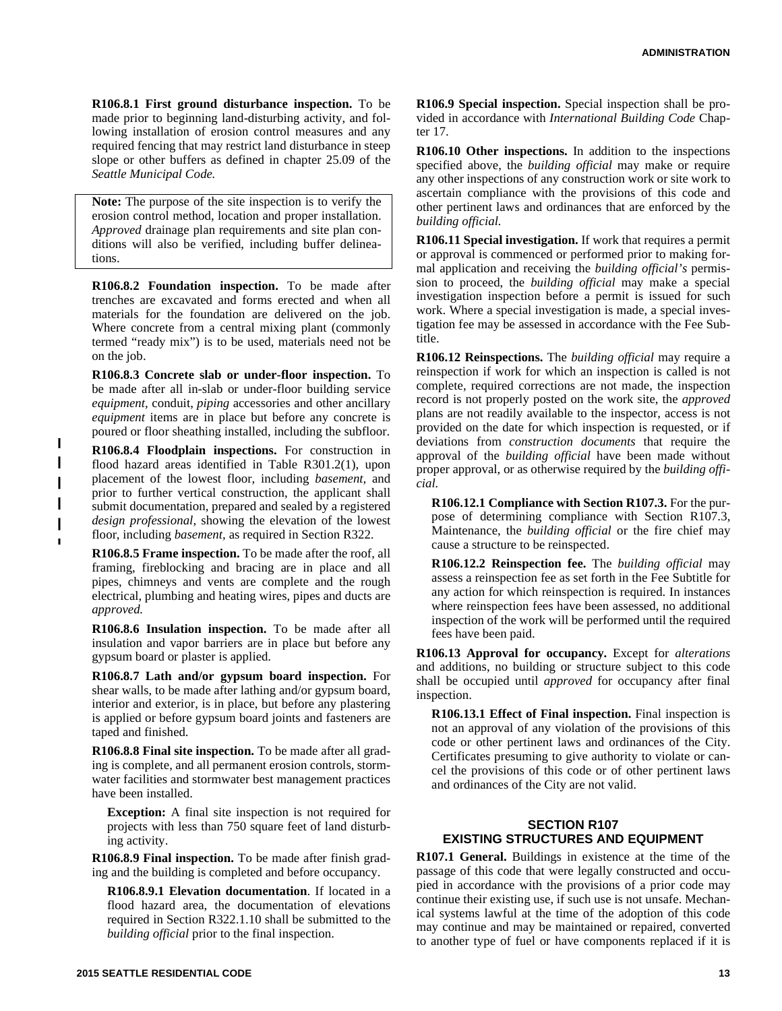**R106.8.1 First ground disturbance inspection.** To be made prior to beginning land-disturbing activity, and following installation of erosion control measures and any required fencing that may restrict land disturbance in steep slope or other buffers as defined in chapter 25.09 of the *Seattle Municipal Code.*

**Note:** The purpose of the site inspection is to verify the erosion control method, location and proper installation. *Approved* drainage plan requirements and site plan conditions will also be verified, including buffer delineations.

**R106.8.2 Foundation inspection.** To be made after trenches are excavated and forms erected and when all materials for the foundation are delivered on the job. Where concrete from a central mixing plant (commonly termed "ready mix") is to be used, materials need not be on the job.

**R106.8.3 Concrete slab or under-floor inspection.** To be made after all in-slab or under-floor building service *equipment,* conduit, *piping* accessories and other ancillary *equipment* items are in place but before any concrete is poured or floor sheathing installed, including the subfloor.

**R106.8.4 Floodplain inspections.** For construction in flood hazard areas identified in Table R301.2(1), upon placement of the lowest floor, including *basement,* and prior to further vertical construction, the applicant shall submit documentation, prepared and sealed by a registered *design professional*, showing the elevation of the lowest floor, including *basement,* as required in Section R322.

**R106.8.5 Frame inspection.** To be made after the roof, all framing, fireblocking and bracing are in place and all pipes, chimneys and vents are complete and the rough electrical, plumbing and heating wires, pipes and ducts are *approved.*

**R106.8.6 Insulation inspection.** To be made after all insulation and vapor barriers are in place but before any gypsum board or plaster is applied.

**R106.8.7 Lath and/or gypsum board inspection.** For shear walls, to be made after lathing and/or gypsum board, interior and exterior, is in place, but before any plastering is applied or before gypsum board joints and fasteners are taped and finished.

**R106.8.8 Final site inspection.** To be made after all grading is complete, and all permanent erosion controls, stormwater facilities and stormwater best management practices have been installed.

**Exception:** A final site inspection is not required for projects with less than 750 square feet of land disturbing activity.

**R106.8.9 Final inspection.** To be made after finish grading and the building is completed and before occupancy.

**R106.8.9.1 Elevation documentation**. If located in a flood hazard area, the documentation of elevations required in Section R322.1.10 shall be submitted to the *building official* prior to the final inspection.

**R106.9 Special inspection.** Special inspection shall be provided in accordance with *International Building Code* Chapter 17.

**R106.10 Other inspections.** In addition to the inspections specified above, the *building official* may make or require any other inspections of any construction work or site work to ascertain compliance with the provisions of this code and other pertinent laws and ordinances that are enforced by the *building official.*

**R106.11 Special investigation.** If work that requires a permit or approval is commenced or performed prior to making formal application and receiving the *building official's* permission to proceed, the *building official* may make a special investigation inspection before a permit is issued for such work. Where a special investigation is made, a special investigation fee may be assessed in accordance with the Fee Subtitle.

**R106.12 Reinspections.** The *building official* may require a reinspection if work for which an inspection is called is not complete, required corrections are not made, the inspection record is not properly posted on the work site, the *approved* plans are not readily available to the inspector, access is not provided on the date for which inspection is requested, or if deviations from *construction documents* that require the approval of the *building official* have been made without proper approval, or as otherwise required by the *building official.*

**R106.12.1 Compliance with Section R107.3.** For the purpose of determining compliance with Section R107.3, Maintenance, the *building official* or the fire chief may cause a structure to be reinspected.

**R106.12.2 Reinspection fee.** The *building official* may assess a reinspection fee as set forth in the Fee Subtitle for any action for which reinspection is required. In instances where reinspection fees have been assessed, no additional inspection of the work will be performed until the required fees have been paid.

**R106.13 Approval for occupancy.** Except for *alterations* and additions, no building or structure subject to this code shall be occupied until *approved* for occupancy after final inspection.

**R106.13.1 Effect of Final inspection.** Final inspection is not an approval of any violation of the provisions of this code or other pertinent laws and ordinances of the City. Certificates presuming to give authority to violate or cancel the provisions of this code or of other pertinent laws and ordinances of the City are not valid.

## **SECTION R107 EXISTING STRUCTURES AND EQUIPMENT**

**R107.1 General.** Buildings in existence at the time of the passage of this code that were legally constructed and occupied in accordance with the provisions of a prior code may continue their existing use, if such use is not unsafe. Mechanical systems lawful at the time of the adoption of this code may continue and may be maintained or repaired, converted to another type of fuel or have components replaced if it is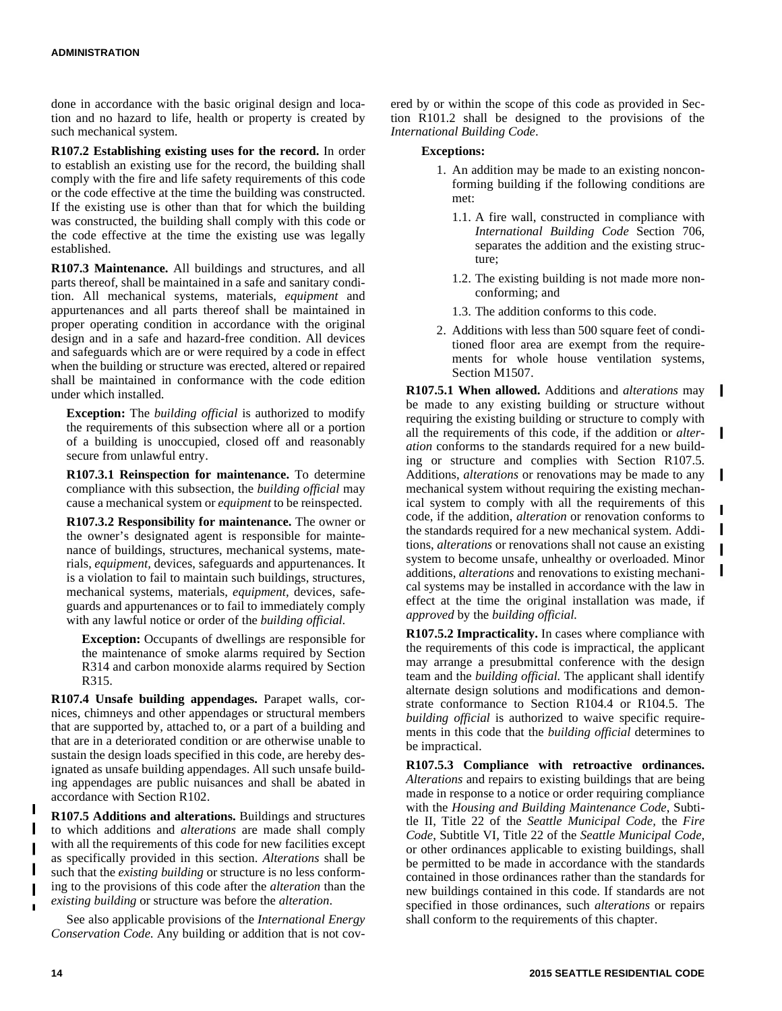done in accordance with the basic original design and location and no hazard to life, health or property is created by such mechanical system.

**R107.2 Establishing existing uses for the record.** In order to establish an existing use for the record, the building shall comply with the fire and life safety requirements of this code or the code effective at the time the building was constructed. If the existing use is other than that for which the building was constructed, the building shall comply with this code or the code effective at the time the existing use was legally established.

**R107.3 Maintenance.** All buildings and structures, and all parts thereof, shall be maintained in a safe and sanitary condition. All mechanical systems, materials, *equipment* and appurtenances and all parts thereof shall be maintained in proper operating condition in accordance with the original design and in a safe and hazard-free condition. All devices and safeguards which are or were required by a code in effect when the building or structure was erected, altered or repaired shall be maintained in conformance with the code edition under which installed.

**Exception:** The *building official* is authorized to modify the requirements of this subsection where all or a portion of a building is unoccupied, closed off and reasonably secure from unlawful entry.

**R107.3.1 Reinspection for maintenance.** To determine compliance with this subsection, the *building official* may cause a mechanical system or *equipment* to be reinspected.

**R107.3.2 Responsibility for maintenance.** The owner or the owner's designated agent is responsible for maintenance of buildings, structures, mechanical systems, materials, *equipment,* devices, safeguards and appurtenances. It is a violation to fail to maintain such buildings, structures, mechanical systems, materials, *equipment,* devices, safeguards and appurtenances or to fail to immediately comply with any lawful notice or order of the *building official.*

**Exception:** Occupants of dwellings are responsible for the maintenance of smoke alarms required by Section R314 and carbon monoxide alarms required by Section R315.

**R107.4 Unsafe building appendages.** Parapet walls, cornices, chimneys and other appendages or structural members that are supported by, attached to, or a part of a building and that are in a deteriorated condition or are otherwise unable to sustain the design loads specified in this code, are hereby designated as unsafe building appendages. All such unsafe building appendages are public nuisances and shall be abated in accordance with Section R102.

**R107.5 Additions and alterations.** Buildings and structures to which additions and *alterations* are made shall comply with all the requirements of this code for new facilities except as specifically provided in this section. *Alterations* shall be such that the *existing building* or structure is no less conforming to the provisions of this code after the *alteration* than the *existing building* or structure was before the *alteration*.

See also applicable provisions of the *International Energy Conservation Code*. Any building or addition that is not covered by or within the scope of this code as provided in Section R101.2 shall be designed to the provisions of the *International Building Code*.

## **Exceptions:**

- 1. An addition may be made to an existing nonconforming building if the following conditions are met:
	- 1.1. A fire wall, constructed in compliance with *International Building Code* Section 706, separates the addition and the existing structure;
	- 1.2. The existing building is not made more nonconforming; and
	- 1.3. The addition conforms to this code.
- 2. Additions with less than 500 square feet of conditioned floor area are exempt from the requirements for whole house ventilation systems, Section M1507.

**R107.5.1 When allowed.** Additions and *alterations* may  $\mathbf I$ be made to any existing building or structure without requiring the existing building or structure to comply with all the requirements of this code, if the addition or *alter-*I *ation* conforms to the standards required for a new building or structure and complies with Section R107.5. Additions, *alterations* or renovations may be made to any mechanical system without requiring the existing mechanical system to comply with all the requirements of this code, if the addition, *alteration* or renovation conforms to<br>the standards required for a new mechanical system. Addithe standards required for a new mechanical system. Additions, *alterations* or renovations shall not cause an existing system to become unsafe, unhealthy or overloaded. Minor additions, *alterations* and renovations to existing mechanical systems may be installed in accordance with the law in effect at the time the original installation was made, if *approved* by the *building official.*

**R107.5.2 Impracticality.** In cases where compliance with the requirements of this code is impractical, the applicant may arrange a presubmittal conference with the design team and the *building official.* The applicant shall identify alternate design solutions and modifications and demonstrate conformance to Section R104.4 or R104.5. The *building official* is authorized to waive specific requirements in this code that the *building official* determines to be impractical.

**R107.5.3 Compliance with retroactive ordinances.** *Alterations* and repairs to existing buildings that are being made in response to a notice or order requiring compliance with the *Housing and Building Maintenance Code*, Subtitle II, Title 22 of the *Seattle Municipal Code,* the *Fire Code*, Subtitle VI, Title 22 of the *Seattle Municipal Code,* or other ordinances applicable to existing buildings, shall be permitted to be made in accordance with the standards contained in those ordinances rather than the standards for new buildings contained in this code. If standards are not specified in those ordinances, such *alterations* or repairs shall conform to the requirements of this chapter.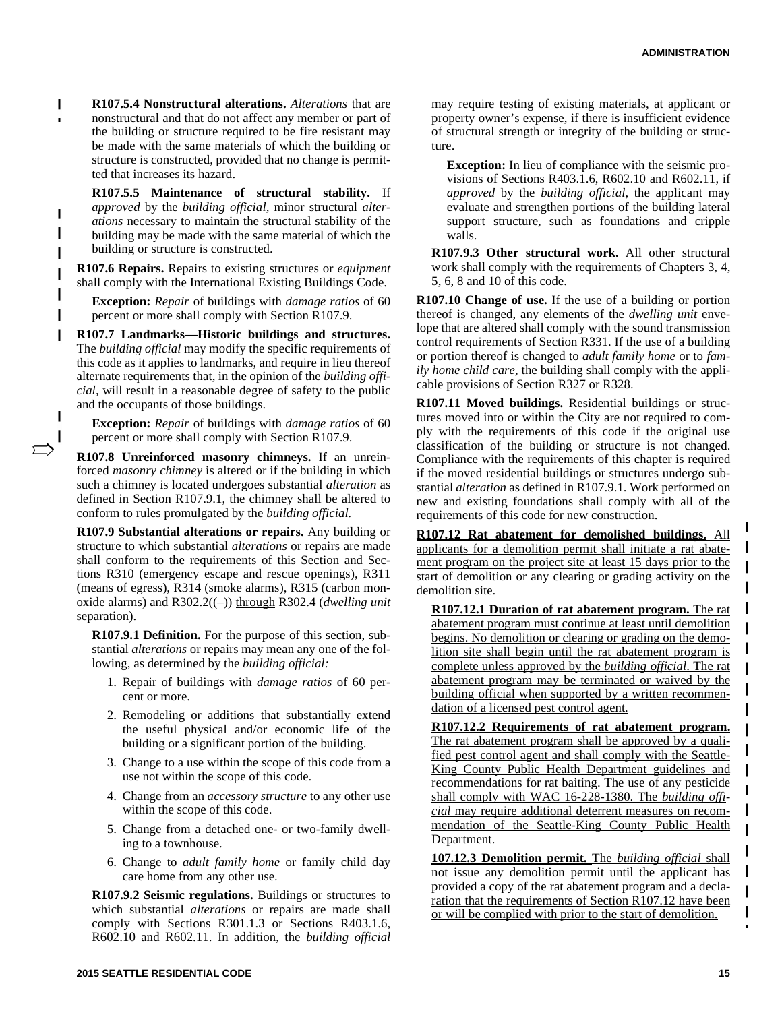**R107.5.4 Nonstructural alterations.** *Alterations* that are I nonstructural and that do not affect any member or part of the building or structure required to be fire resistant may be made with the same materials of which the building or structure is constructed, provided that no change is permitted that increases its hazard.

**R107.5.5 Maintenance of structural stability.** If *approved* by the *building official,* minor structural *alterations* necessary to maintain the structural stability of the building may be made with the same material of which the building or structure is constructed.

**R107.6 Repairs.** Repairs to existing structures or *equipment* shall comply with the International Existing Buildings Code.

**Exception:** *Repair* of buildings with *damage ratios* of 60 percent or more shall comply with Section R107.9.

**R107.7 Landmarks—Historic buildings and structures.** The *building official* may modify the specific requirements of this code as it applies to landmarks, and require in lieu thereof alternate requirements that, in the opinion of the *building official,* will result in a reasonable degree of safety to the public and the occupants of those buildings.

I

**Exception:** *Repair* of buildings with *damage ratios* of 60 percent or more shall comply with Section R107.9.

**R107.8 Unreinforced masonry chimneys.** If an unreinforced *masonry chimney* is altered or if the building in which such a chimney is located undergoes substantial *alteration* as defined in Section R107.9.1, the chimney shall be altered to conform to rules promulgated by the *building official.*

**R107.9 Substantial alterations or repairs.** Any building or structure to which substantial *alterations* or repairs are made shall conform to the requirements of this Section and Sections R310 (emergency escape and rescue openings), R311 (means of egress), R314 (smoke alarms), R315 (carbon monoxide alarms) and R302.2((–)) through R302.4 (*dwelling unit* separation).

**R107.9.1 Definition.** For the purpose of this section, substantial *alterations* or repairs may mean any one of the following, as determined by the *building official:*

- 1. Repair of buildings with *damage ratios* of 60 percent or more.
- 2. Remodeling or additions that substantially extend the useful physical and/or economic life of the building or a significant portion of the building.
- 3. Change to a use within the scope of this code from a use not within the scope of this code.
- 4. Change from an *accessory structure* to any other use within the scope of this code.
- 5. Change from a detached one- or two-family dwelling to a townhouse.
- 6. Change to *adult family home* or family child day care home from any other use.

**R107.9.2 Seismic regulations.** Buildings or structures to which substantial *alterations* or repairs are made shall comply with Sections R301.1.3 or Sections R403.1.6, R602.10 and R602.11. In addition, the *building official* **Exception:** In lieu of compliance with the seismic provisions of Sections R403.1.6, R602.10 and R602.11, if *approved* by the *building official,* the applicant may evaluate and strengthen portions of the building lateral support structure, such as foundations and cripple walls.

**R107.9.3 Other structural work.** All other structural work shall comply with the requirements of Chapters 3, 4, 5, 6, 8 and 10 of this code.

**R107.10 Change of use.** If the use of a building or portion thereof is changed, any elements of the *dwelling unit* envelope that are altered shall comply with the sound transmission control requirements of Section R331. If the use of a building or portion thereof is changed to *adult family home* or to *family home child care,* the building shall comply with the applicable provisions of Section R327 or R328.

**R107.11 Moved buildings.** Residential buildings or structures moved into or within the City are not required to comply with the requirements of this code if the original use classification of the building or structure is not changed. Compliance with the requirements of this chapter is required if the moved residential buildings or structures undergo substantial *alteration* as defined in R107.9.1. Work performed on new and existing foundations shall comply with all of the requirements of this code for new construction.

**R107.12 Rat abatement for demolished buildings.** All applicants for a demolition permit shall initiate a rat abatement program on the project site at least 15 days prior to the start of demolition or any clearing or grading activity on the demolition site.

**R107.12.1 Duration of rat abatement program.** The rat abatement program must continue at least until demolition begins. No demolition or clearing or grading on the demolition site shall begin until the rat abatement program is complete unless approved by the *building official*. The rat abatement program may be terminated or waived by the building official when supported by a written recommendation of a licensed pest control agent.

**R107.12.2 Requirements of rat abatement program.** The rat abatement program shall be approved by a qualified pest control agent and shall comply with the Seattle-King County Public Health Department guidelines and recommendations for rat baiting. The use of any pesticide shall comply with WAC 16-228-1380. The *building official* may require additional deterrent measures on recommendation of the Seattle-King County Public Health Department.

**107.12.3 Demolition permit.** The *building official* shall not issue any demolition permit until the applicant has provided a copy of the rat abatement program and a declaration that the requirements of Section R107.12 have been or will be complied with prior to the start of demolition.